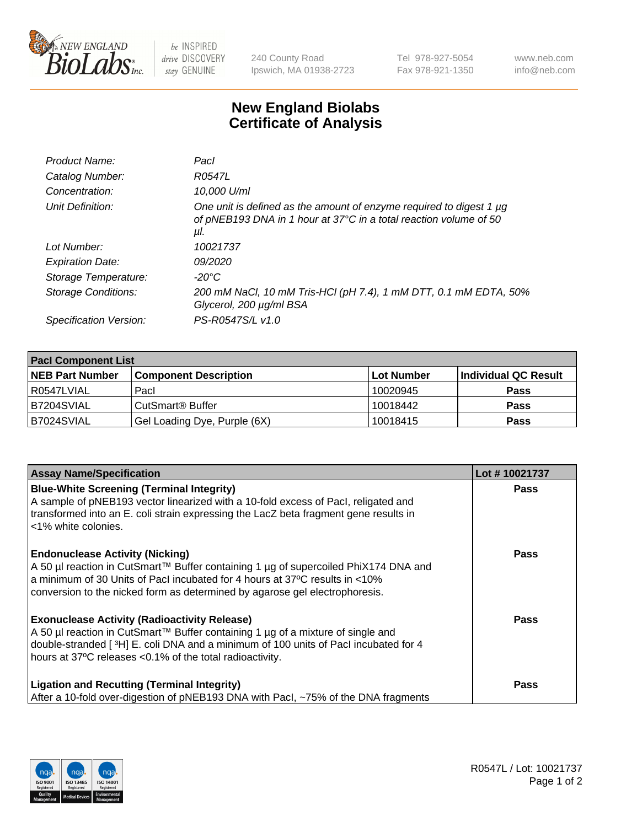

 $be$  INSPIRED drive DISCOVERY stay GENUINE

240 County Road Ipswich, MA 01938-2723 Tel 978-927-5054 Fax 978-921-1350 www.neb.com info@neb.com

## **New England Biolabs Certificate of Analysis**

| Product Name:           | Pacl                                                                                                                                            |
|-------------------------|-------------------------------------------------------------------------------------------------------------------------------------------------|
| Catalog Number:         | R0547L                                                                                                                                          |
| Concentration:          | 10,000 U/ml                                                                                                                                     |
| Unit Definition:        | One unit is defined as the amount of enzyme required to digest 1 µg<br>of pNEB193 DNA in 1 hour at 37°C in a total reaction volume of 50<br>μl. |
| Lot Number:             | 10021737                                                                                                                                        |
| <b>Expiration Date:</b> | <i>09/2020</i>                                                                                                                                  |
| Storage Temperature:    | $-20^{\circ}$ C                                                                                                                                 |
| Storage Conditions:     | 200 mM NaCl, 10 mM Tris-HCl (pH 7.4), 1 mM DTT, 0.1 mM EDTA, 50%<br>Glycerol, 200 µg/ml BSA                                                     |
| Specification Version:  | PS-R0547S/L v1.0                                                                                                                                |

| <b>Pacl Component List</b> |                              |             |                      |  |  |
|----------------------------|------------------------------|-------------|----------------------|--|--|
| <b>NEB Part Number</b>     | <b>Component Description</b> | ∣Lot Number | Individual QC Result |  |  |
| R0547LVIAL                 | Pacl                         | 10020945    | <b>Pass</b>          |  |  |
| IB7204SVIAL                | CutSmart® Buffer             | 10018442    | <b>Pass</b>          |  |  |
| B7024SVIAL                 | Gel Loading Dye, Purple (6X) | 10018415    | <b>Pass</b>          |  |  |

| <b>Assay Name/Specification</b>                                                                                                                                                                                                                                                               | Lot #10021737 |
|-----------------------------------------------------------------------------------------------------------------------------------------------------------------------------------------------------------------------------------------------------------------------------------------------|---------------|
| <b>Blue-White Screening (Terminal Integrity)</b><br>A sample of pNEB193 vector linearized with a 10-fold excess of Pacl, religated and<br>transformed into an E. coli strain expressing the LacZ beta fragment gene results in<br>l <1% white colonies.                                       | <b>Pass</b>   |
| <b>Endonuclease Activity (Nicking)</b><br>  A 50 µl reaction in CutSmart™ Buffer containing 1 µg of supercoiled PhiX174 DNA and<br>a minimum of 30 Units of Pacl incubated for 4 hours at 37°C results in <10%<br>conversion to the nicked form as determined by agarose gel electrophoresis. | Pass          |
| <b>Exonuclease Activity (Radioactivity Release)</b><br>A 50 µl reaction in CutSmart™ Buffer containing 1 µg of a mixture of single and<br>double-stranded [3H] E. coli DNA and a minimum of 100 units of Pacl incubated for 4<br>hours at 37°C releases <0.1% of the total radioactivity.     | Pass          |
| <b>Ligation and Recutting (Terminal Integrity)</b><br>After a 10-fold over-digestion of pNEB193 DNA with Pacl, ~75% of the DNA fragments                                                                                                                                                      | <b>Pass</b>   |